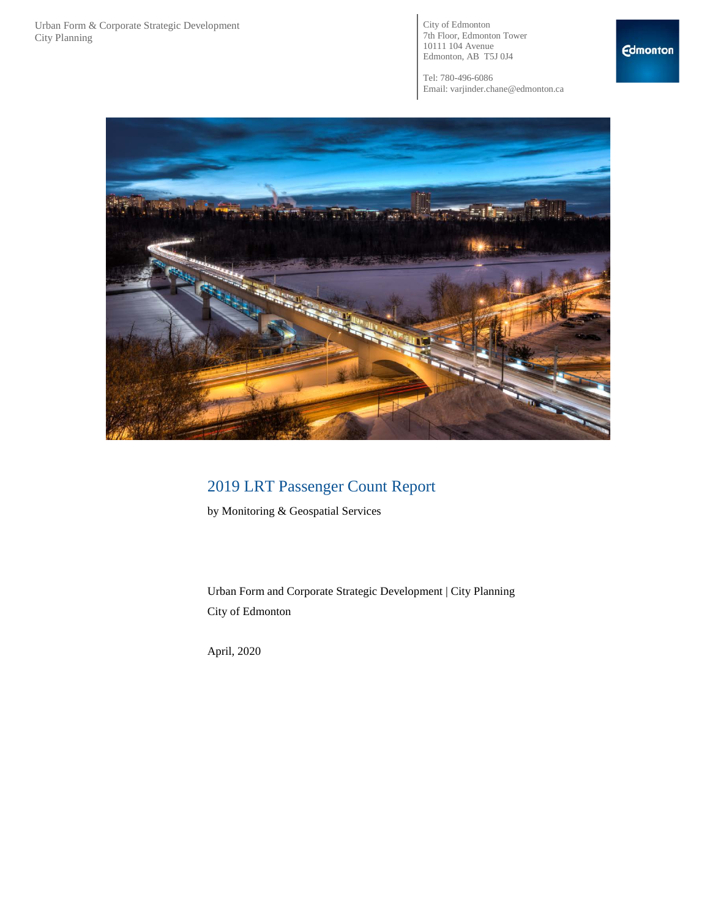City of Edmonton 7th Floor, Edmonton Tower 10111 104 Avenue Edmonton, AB T5J 0J4

Tel: 780-496-6086 Email: varjinder.chane@edmonton.ca



# 2019 LRT Passenger Count Report

by Monitoring & Geospatial Services

Urban Form and Corporate Strategic Development | City Planning City of Edmonton

April, 2020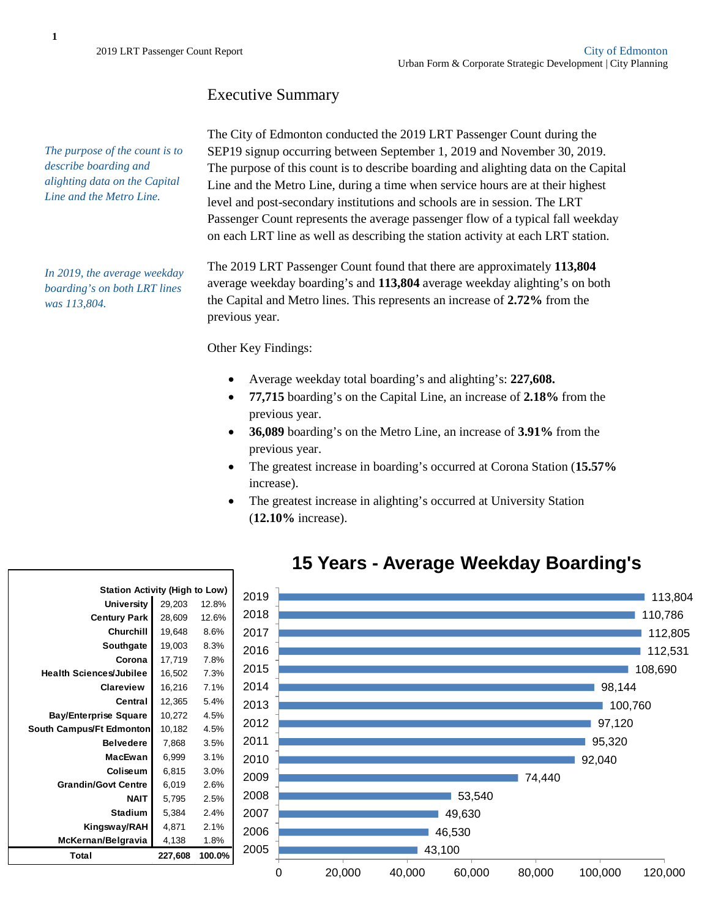## Executive Summary

*The purpose of the count is to describe boarding and alighting data on the Capital Line and the Metro Line.*

*In 2019, the average weekday boarding's on both LRT lines was 113,804.* 

The City of Edmonton conducted the 2019 LRT Passenger Count during the SEP19 signup occurring between September 1, 2019 and November 30, 2019. The purpose of this count is to describe boarding and alighting data on the Capital Line and the Metro Line, during a time when service hours are at their highest level and post-secondary institutions and schools are in session. The LRT Passenger Count represents the average passenger flow of a typical fall weekday on each LRT line as well as describing the station activity at each LRT station.

The 2019 LRT Passenger Count found that there are approximately **113,804** average weekday boarding's and **113,804** average weekday alighting's on both the Capital and Metro lines. This represents an increase of **2.72%** from the previous year.

Other Key Findings:

- Average weekday total boarding's and alighting's: **227,608.**
- **77,715** boarding's on the Capital Line, an increase of **2.18%** from the previous year.
- **36,089** boarding's on the Metro Line, an increase of **3.91%** from the previous year.
- The greatest increase in boarding's occurred at Corona Station (**15.57%** increase).
- The greatest increase in alighting's occurred at University Station (**12.10%** increase).



# **15 Years - Average Weekday Boarding's**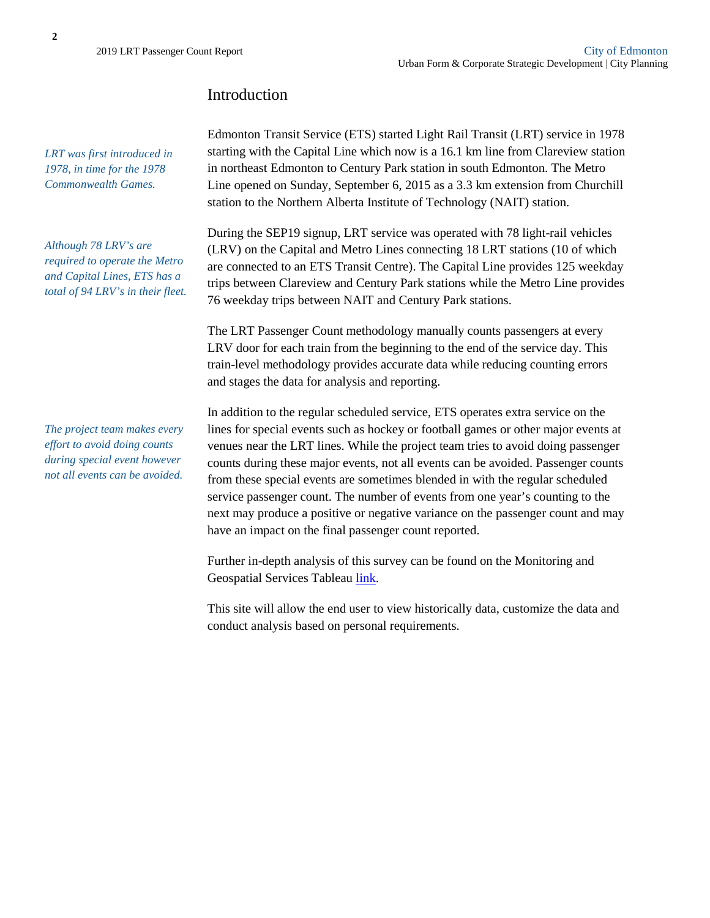## Introduction

*LRT was first introduced in 1978, in time for the 1978 Commonwealth Games.* 

*Although 78 LRV's are required to operate the Metro and Capital Lines, ETS has a total of 94 LRV's in their fleet.* 

*The project team makes every effort to avoid doing counts during special event however not all events can be avoided.* 

Edmonton Transit Service (ETS) started Light Rail Transit (LRT) service in 1978 starting with the Capital Line which now is a 16.1 km line from Clareview station in northeast Edmonton to Century Park station in south Edmonton. The Metro Line opened on Sunday, September 6, 2015 as a 3.3 km extension from Churchill station to the Northern Alberta Institute of Technology (NAIT) station.

During the SEP19 signup, LRT service was operated with 78 light-rail vehicles (LRV) on the Capital and Metro Lines connecting 18 LRT stations (10 of which are connected to an ETS Transit Centre). The Capital Line provides 125 weekday trips between Clareview and Century Park stations while the Metro Line provides 76 weekday trips between NAIT and Century Park stations.

The LRT Passenger Count methodology manually counts passengers at every LRV door for each train from the beginning to the end of the service day. This train-level methodology provides accurate data while reducing counting errors and stages the data for analysis and reporting.

In addition to the regular scheduled service, ETS operates extra service on the lines for special events such as hockey or football games or other major events at venues near the LRT lines. While the project team tries to avoid doing passenger counts during these major events, not all events can be avoided. Passenger counts from these special events are sometimes blended in with the regular scheduled service passenger count. The number of events from one year's counting to the next may produce a positive or negative variance on the passenger count and may have an impact on the final passenger count reported.

Further in-depth analysis of this survey can be found on the Monitoring and Geospatial Services Tableau [link.](https://tableauopen.edmonton.ca/#/site/Production/views/2019LRTPassengerCountReport/LRTSurvey?:iid=2)

This site will allow the end user to view historically data, customize the data and conduct analysis based on personal requirements.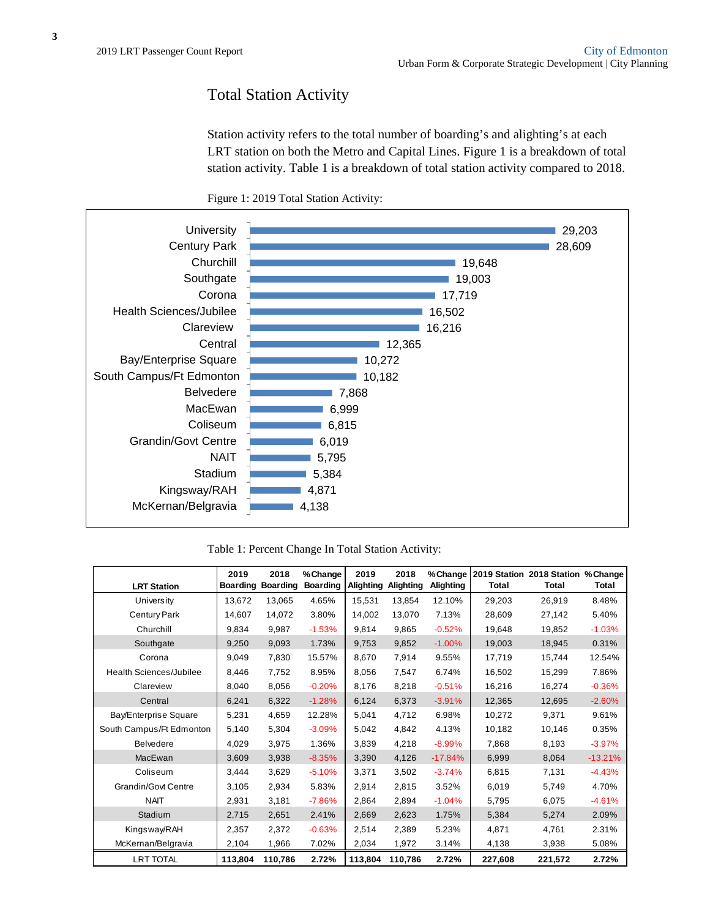#### Total Station Activity

Station activity refers to the total number of boarding's and alighting's at each LRT station on both the Metro and Capital Lines. Figure 1 is a breakdown of total station activity. Table 1 is a breakdown of total station activity compared to 2018.





Table 1: Percent Change In Total Station Activity:

| <b>LRT Station</b>         | 2019<br><b>Boarding</b> | 2018<br><b>Boarding</b> | % Change<br><b>Boarding</b> | 2019<br><b>Alighting</b> | 2018<br>Alighting | % Change<br>Alighting | Total   | 2019 Station 2018 Station % Change<br>Total | Total     |
|----------------------------|-------------------------|-------------------------|-----------------------------|--------------------------|-------------------|-----------------------|---------|---------------------------------------------|-----------|
| University                 | 13,672                  | 13.065                  | 4.65%                       | 15,531                   | 13.854            | 12.10%                | 29,203  | 26,919                                      | 8.48%     |
| <b>Century Park</b>        | 14,607                  | 14,072                  | 3.80%                       | 14,002                   | 13,070            | 7.13%                 | 28,609  | 27,142                                      | 5.40%     |
| Churchill                  | 9.834                   | 9,987                   | $-1.53%$                    | 9,814                    | 9.865             | $-0.52%$              | 19,648  | 19,852                                      | $-1.03%$  |
| Southgate                  | 9,250                   | 9,093                   | 1.73%                       | 9,753                    | 9.852             | $-1.00%$              | 19,003  | 18,945                                      | 0.31%     |
| Corona                     | 9.049                   | 7.830                   | 15.57%                      | 8.670                    | 7.914             | 9.55%                 | 17,719  | 15,744                                      | 12.54%    |
| Health Sciences/Jubilee    | 8.446                   | 7,752                   | 8.95%                       | 8.056                    | 7.547             | 6.74%                 | 16,502  | 15,299                                      | 7.86%     |
| Clareview                  | 8,040                   | 8,056                   | $-0.20%$                    | 8,176                    | 8,218             | $-0.51%$              | 16,216  | 16,274                                      | $-0.36%$  |
| Central                    | 6,241                   | 6,322                   | $-1.28%$                    | 6,124                    | 6,373             | $-3.91%$              | 12,365  | 12,695                                      | $-2.60%$  |
| Bay/Enterprise Square      | 5,231                   | 4,659                   | 12.28%                      | 5.041                    | 4.712             | 6.98%                 | 10,272  | 9.371                                       | 9.61%     |
| South Campus/Ft Edmonton   | 5,140                   | 5,304                   | $-3.09%$                    | 5,042                    | 4,842             | 4.13%                 | 10,182  | 10,146                                      | 0.35%     |
| <b>Belvedere</b>           | 4,029                   | 3,975                   | 1.36%                       | 3,839                    | 4,218             | $-8.99%$              | 7,868   | 8,193                                       | $-3.97%$  |
| MacEwan                    | 3.609                   | 3,938                   | $-8.35%$                    | 3,390                    | 4,126             | $-17.84%$             | 6,999   | 8,064                                       | $-13.21%$ |
| Coliseum                   | 3,444                   | 3,629                   | $-5.10%$                    | 3,371                    | 3,502             | $-3.74%$              | 6,815   | 7,131                                       | $-4.43%$  |
| <b>Grandin/Govt Centre</b> | 3,105                   | 2,934                   | 5.83%                       | 2,914                    | 2,815             | 3.52%                 | 6,019   | 5,749                                       | 4.70%     |
| <b>NAIT</b>                | 2,931                   | 3,181                   | $-7.86%$                    | 2,864                    | 2.894             | $-1.04%$              | 5,795   | 6,075                                       | $-4.61%$  |
| Stadium                    | 2,715                   | 2,651                   | 2.41%                       | 2,669                    | 2,623             | 1.75%                 | 5,384   | 5,274                                       | 2.09%     |
| Kingsway/RAH               | 2,357                   | 2.372                   | $-0.63%$                    | 2.514                    | 2.389             | 5.23%                 | 4.871   | 4.761                                       | 2.31%     |
| McKernan/Belgravia         | 2,104                   | 1,966                   | 7.02%                       | 2,034                    | 1,972             | 3.14%                 | 4,138   | 3,938                                       | 5.08%     |
| <b>LRT TOTAL</b>           | 113,804                 | 110,786                 | 2.72%                       | 113,804                  | 110,786           | 2.72%                 | 227,608 | 221,572                                     | 2.72%     |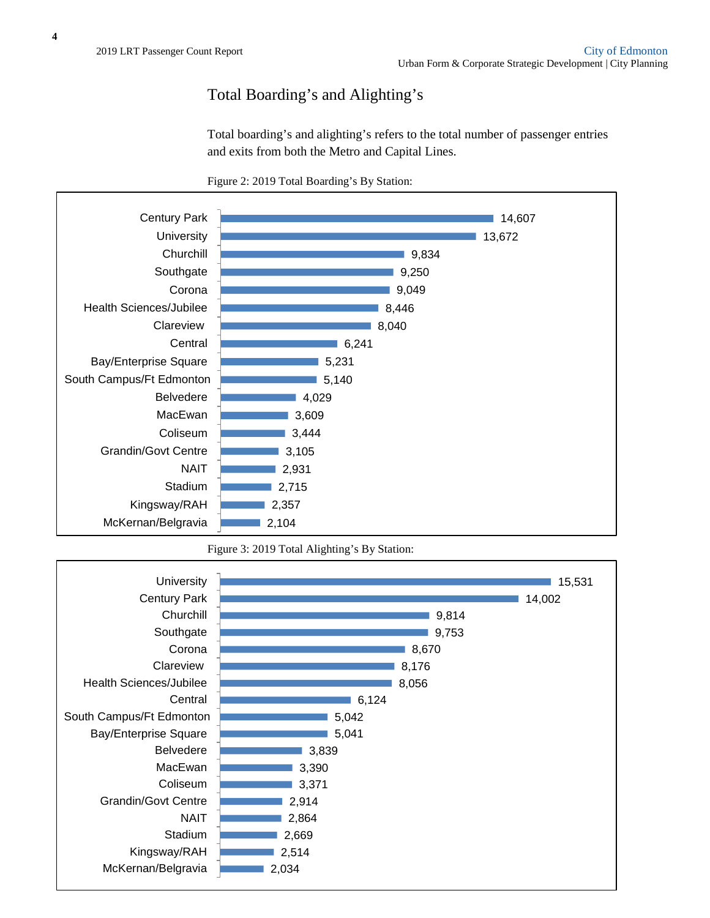# Total Boarding's and Alighting's

Total boarding's and alighting's refers to the total number of passenger entries and exits from both the Metro and Capital Lines.





Figure 3: 2019 Total Alighting's By Station:

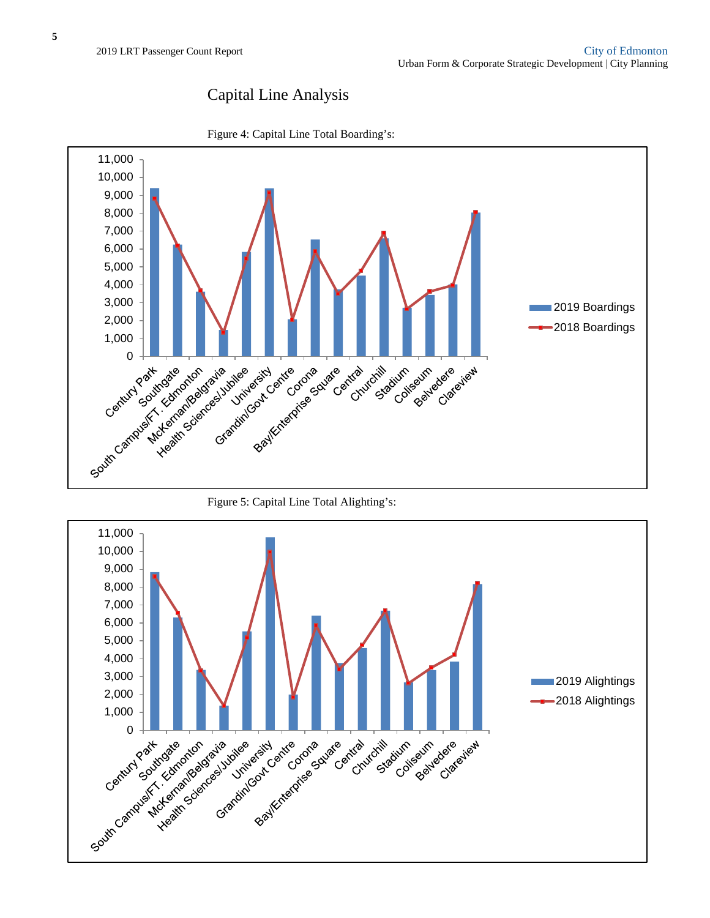### Capital Line Analysis



Figure 4: Capital Line Total Boarding's:



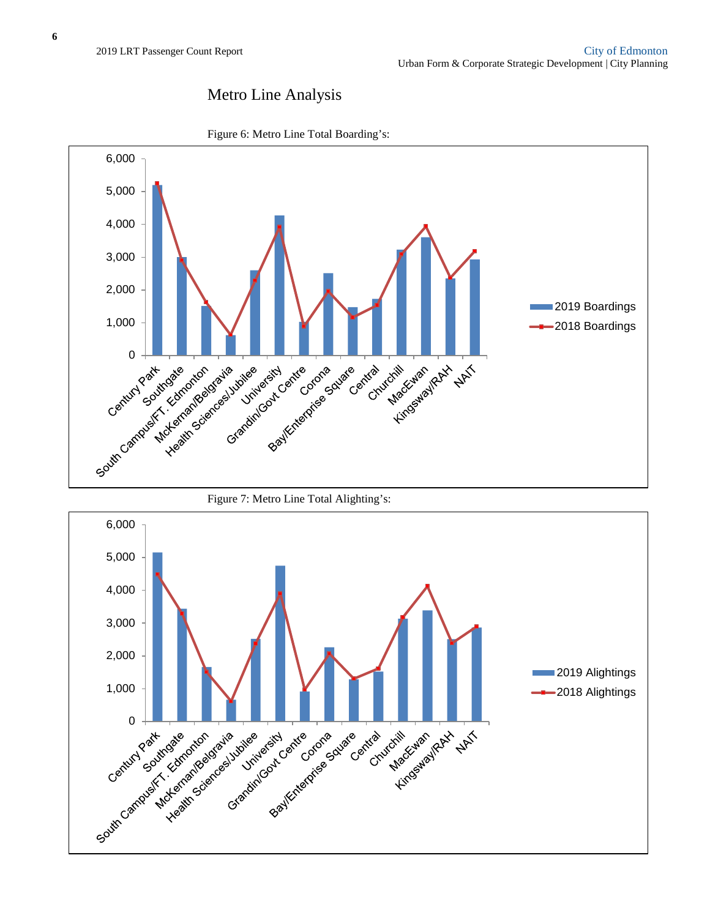# Metro Line Analysis



Figure 6: Metro Line Total Boarding's:

Figure 7: Metro Line Total Alighting's: